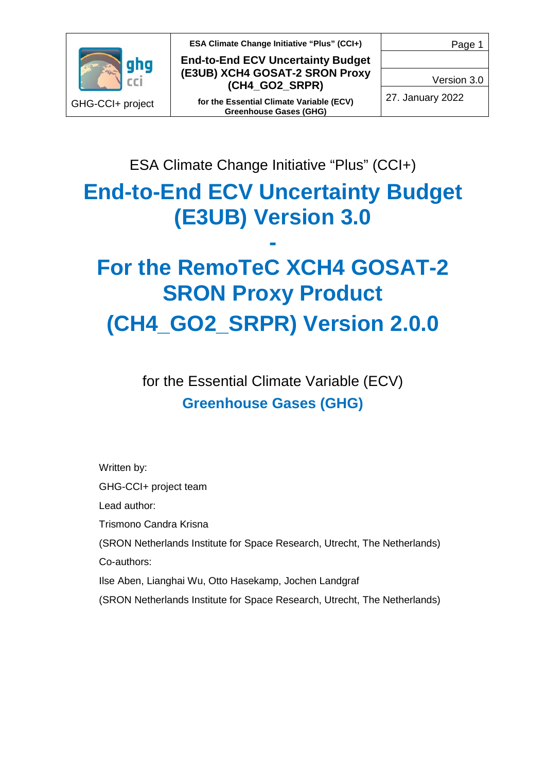

**End-to-End ECV Uncertainty Budget (E3UB) XCH4 GOSAT-2 SRON Proxy (CH4\_GO2\_SRPR)**

**for the Essential Climate Variable (ECV) Greenhouse Gases (GHG)**

Page 1

Version 3.0

27. January 2022

ESA Climate Change Initiative "Plus" (CCI+)

# **End-to-End ECV Uncertainty Budget (E3UB) Version 3.0**

# **- For the RemoTeC XCH4 GOSAT-2 SRON Proxy Product (CH4\_GO2\_SRPR) Version 2.0.0**

for the Essential Climate Variable (ECV) **Greenhouse Gases (GHG)**

Written by:

GHG-CCI+ project team

Lead author:

Trismono Candra Krisna

(SRON Netherlands Institute for Space Research, Utrecht, The Netherlands) Co-authors:

Ilse Aben, Lianghai Wu, Otto Hasekamp, Jochen Landgraf

(SRON Netherlands Institute for Space Research, Utrecht, The Netherlands)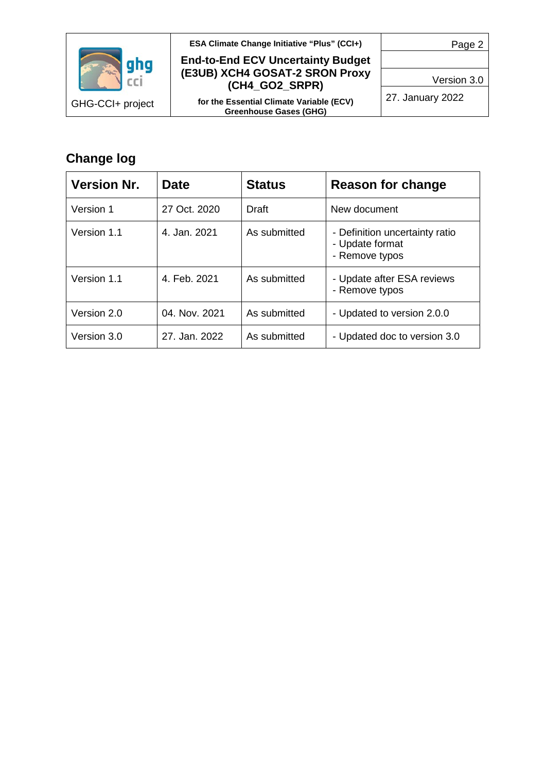

**Change log**

**ESA Climate Change Initiative "Plus" (CCI+)**

#### **End-to-End ECV Uncertainty Budget (E3UB) XCH4 GOSAT-2 SRON Proxy (CH4\_GO2\_SRPR)**

**for the Essential Climate Variable (ECV) Greenhouse Gases (GHG)**

27. January 2022

## **Version Nr. Date Status Reason for change** Version 1 27 Oct. 2020 Draft New document Version 1.1  $\vert$  4. Jan. 2021  $\vert$  As submitted  $\vert$  - Definition uncertainty ratio - Update format - Remove typos Version 1.1  $\vert$  4. Feb. 2021  $\vert$  As submitted  $\vert$  - Update after ESA reviews - Remove typos Version 2.0  $\vert$  04. Nov. 2021  $\vert$  As submitted  $\vert$  - Updated to version 2.0.0 Version 3.0  $\vert$  27. Jan. 2022  $\vert$  As submitted  $\vert$  - Updated doc to version 3.0

Page 2

Version 3.0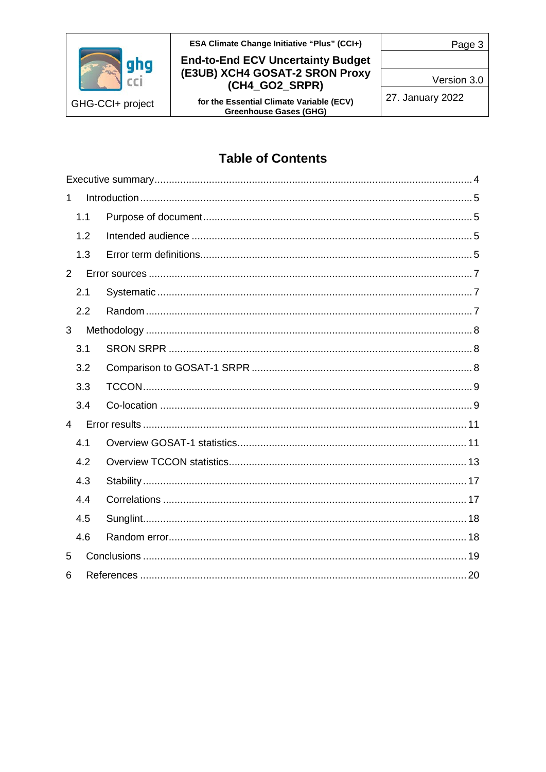

#### **End-to-End ECV Uncertainty Budget** (E3UB) XCH4 GOSAT-2 SRON Proxy (CH4\_GO2\_SRPR)

for the Essential Climate Variable (ECV)<br>Greenhouse Gases (GHG)

Version 3.0

27. January 2022

### **Table of Contents**

| $\mathbf 1$    |     |  |
|----------------|-----|--|
|                | 1.1 |  |
|                | 1.2 |  |
|                | 1.3 |  |
| $2^{\circ}$    |     |  |
|                | 2.1 |  |
|                | 2.2 |  |
| 3              |     |  |
|                | 3.1 |  |
|                | 3.2 |  |
|                | 3.3 |  |
|                | 3.4 |  |
| $\overline{4}$ |     |  |
|                | 4.1 |  |
|                | 4.2 |  |
|                | 4.3 |  |
|                | 4.4 |  |
|                | 4.5 |  |
|                | 4.6 |  |
| 5              |     |  |
| 6              |     |  |

Page 3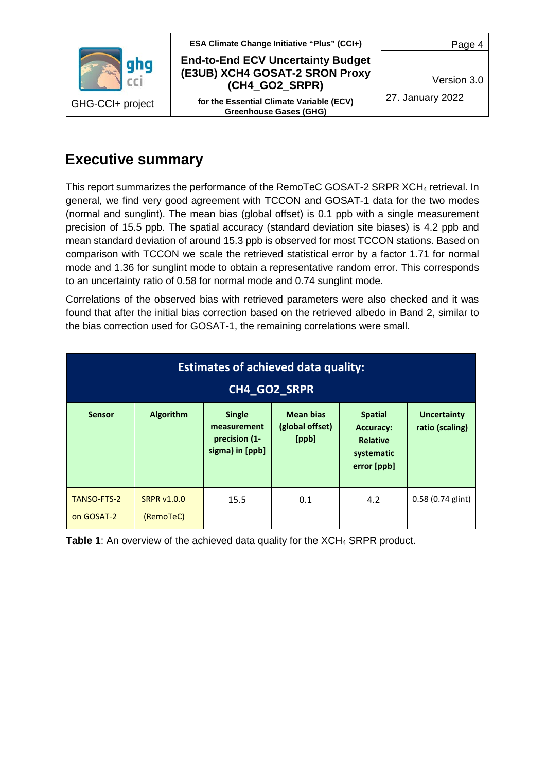

**End-to-End ECV Uncertainty Budget (E3UB) XCH4 GOSAT-2 SRON Proxy (CH4\_GO2\_SRPR)**

**for the Essential Climate Variable (ECV) Greenhouse Gases (GHG)**

Page 4

Version 3.0

27. January 2022

## <span id="page-3-0"></span>**Executive summary**

This report summarizes the performance of the RemoTeC GOSAT-2 SRPR XCH4 retrieval. In general, we find very good agreement with TCCON and GOSAT-1 data for the two modes (normal and sunglint). The mean bias (global offset) is 0.1 ppb with a single measurement precision of 15.5 ppb. The spatial accuracy (standard deviation site biases) is 4.2 ppb and mean standard deviation of around 15.3 ppb is observed for most TCCON stations. Based on comparison with TCCON we scale the retrieved statistical error by a factor 1.71 for normal mode and 1.36 for sunglint mode to obtain a representative random error. This corresponds to an uncertainty ratio of 0.58 for normal mode and 0.74 sunglint mode.

Correlations of the observed bias with retrieved parameters were also checked and it was found that after the initial bias correction based on the retrieved albedo in Band 2, similar to the bias correction used for GOSAT-1, the remaining correlations were small.

| <b>Estimates of achieved data quality:</b><br>CH4_GO2_SRPR |                                 |                                                                                                                  |     |                                                                                    |                                       |  |  |
|------------------------------------------------------------|---------------------------------|------------------------------------------------------------------------------------------------------------------|-----|------------------------------------------------------------------------------------|---------------------------------------|--|--|
| <b>Sensor</b>                                              | Algorithm                       | <b>Mean bias</b><br><b>Single</b><br>(global offset)<br>measurement<br>[ppb]<br>precision (1-<br>sigma) in [ppb] |     | <b>Spatial</b><br><b>Accuracy:</b><br><b>Relative</b><br>systematic<br>error [ppb] | <b>Uncertainty</b><br>ratio (scaling) |  |  |
| <b>TANSO-FTS-2</b><br>on GOSAT-2                           | <b>SRPR v1.0.0</b><br>(RemoTeC) | 15.5                                                                                                             | 0.1 | 4.2                                                                                | 0.58 (0.74 glint)                     |  |  |

**Table 1:** An overview of the achieved data quality for the XCH<sub>4</sub> SRPR product.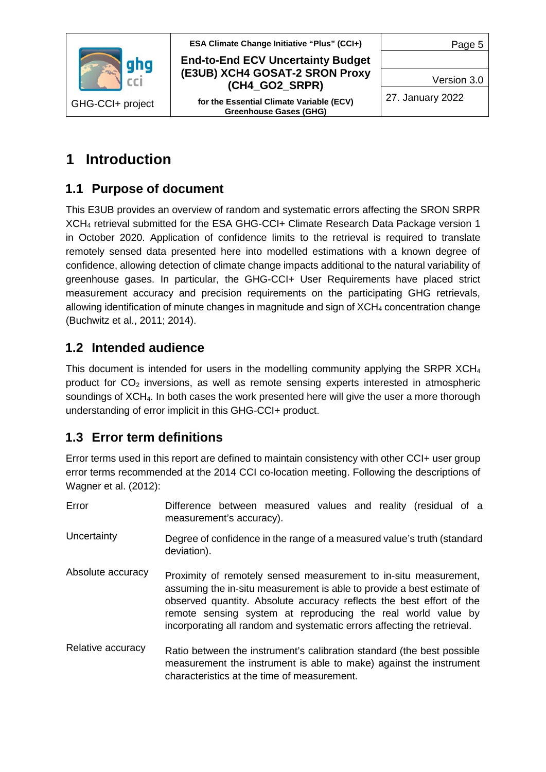

#### **End-to-End ECV Uncertainty Budget (E3UB) XCH4 GOSAT-2 SRON Proxy (CH4\_GO2\_SRPR)**

**for the Essential Climate Variable (ECV) Greenhouse Gases (GHG)**

Page 5

Version 3.0

27. January 2022

## <span id="page-4-0"></span>**1 Introduction**

### <span id="page-4-1"></span>**1.1 Purpose of document**

This E3UB provides an overview of random and systematic errors affecting the SRON SRPR XCH4 retrieval submitted for the ESA GHG-CCI+ Climate Research Data Package version 1 in October 2020. Application of confidence limits to the retrieval is required to translate remotely sensed data presented here into modelled estimations with a known degree of confidence, allowing detection of climate change impacts additional to the natural variability of greenhouse gases. In particular, the GHG-CCI+ User Requirements have placed strict measurement accuracy and precision requirements on the participating GHG retrievals, allowing identification of minute changes in magnitude and sign of  $XCH<sub>4</sub>$  concentration change (Buchwitz et al., 2011; 2014).

### <span id="page-4-2"></span>**1.2 Intended audience**

This document is intended for users in the modelling community applying the SRPR XCH4 product for  $CO<sub>2</sub>$  inversions, as well as remote sensing experts interested in atmospheric soundings of XCH<sub>4</sub>. In both cases the work presented here will give the user a more thorough understanding of error implicit in this GHG-CCI+ product.

### <span id="page-4-3"></span>**1.3 Error term definitions**

Error terms used in this report are defined to maintain consistency with other CCI+ user group error terms recommended at the 2014 CCI co-location meeting. Following the descriptions of Wagner et al. (2012):

| Error                                                                                                 | Difference between measured values and reality (residual of a<br>measurement's accuracy).                                                                                                                                                                                                                                                                     |  |  |  |  |  |  |  |
|-------------------------------------------------------------------------------------------------------|---------------------------------------------------------------------------------------------------------------------------------------------------------------------------------------------------------------------------------------------------------------------------------------------------------------------------------------------------------------|--|--|--|--|--|--|--|
| Uncertainty<br>Degree of confidence in the range of a measured value's truth (standard<br>deviation). |                                                                                                                                                                                                                                                                                                                                                               |  |  |  |  |  |  |  |
| Absolute accuracy                                                                                     | Proximity of remotely sensed measurement to in-situ measurement,<br>assuming the in-situ measurement is able to provide a best estimate of<br>observed quantity. Absolute accuracy reflects the best effort of the<br>remote sensing system at reproducing the real world value by<br>incorporating all random and systematic errors affecting the retrieval. |  |  |  |  |  |  |  |
| Relative accuracy                                                                                     | Ratio between the instrument's calibration standard (the best possible<br>measurement the instrument is able to make) against the instrument<br>characteristics at the time of measurement.                                                                                                                                                                   |  |  |  |  |  |  |  |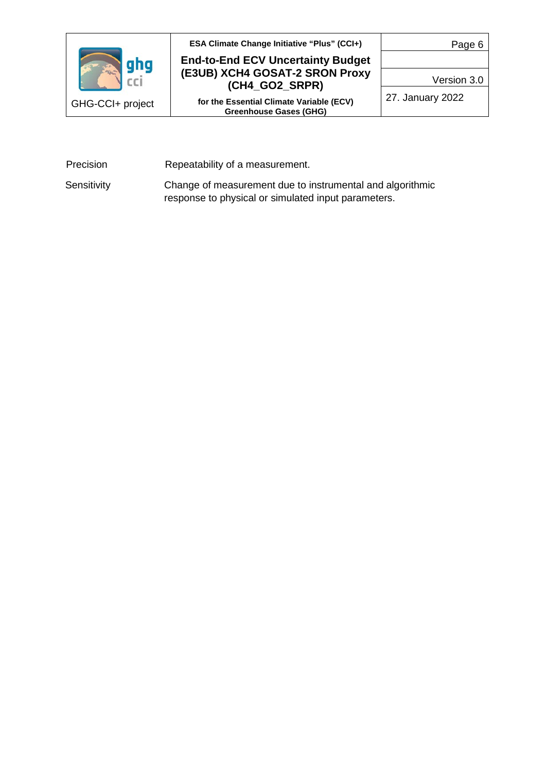

#### **End-to-End ECV Uncertainty Budget (E3UB) XCH4 GOSAT-2 SRON Proxy (CH4\_GO2\_SRPR)**

**for the Essential Climate Variable (ECV) Greenhouse Gases (GHG)**

Page 6

Version 3.0

27. January 2022

Precision Repeatability of a measurement.

Sensitivity Change of measurement due to instrumental and algorithmic response to physical or simulated input parameters.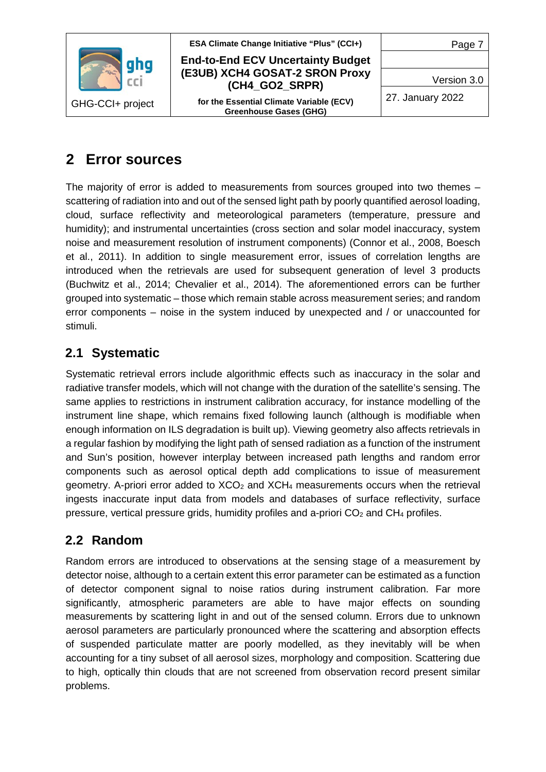

#### **End-to-End ECV Uncertainty Budget (E3UB) XCH4 GOSAT-2 SRON Proxy (CH4\_GO2\_SRPR)**

**for the Essential Climate Variable (ECV) Greenhouse Gases (GHG)**

Page 7

Version 3.0

27. January 2022

## <span id="page-6-0"></span>**2 Error sources**

The majority of error is added to measurements from sources grouped into two themes – scattering of radiation into and out of the sensed light path by poorly quantified aerosol loading, cloud, surface reflectivity and meteorological parameters (temperature, pressure and humidity); and instrumental uncertainties (cross section and solar model inaccuracy, system noise and measurement resolution of instrument components) (Connor et al., 2008, Boesch et al., 2011). In addition to single measurement error, issues of correlation lengths are introduced when the retrievals are used for subsequent generation of level 3 products (Buchwitz et al., 2014; Chevalier et al., 2014). The aforementioned errors can be further grouped into systematic – those which remain stable across measurement series; and random error components – noise in the system induced by unexpected and / or unaccounted for stimuli.

### <span id="page-6-1"></span>**2.1 Systematic**

Systematic retrieval errors include algorithmic effects such as inaccuracy in the solar and radiative transfer models, which will not change with the duration of the satellite's sensing. The same applies to restrictions in instrument calibration accuracy, for instance modelling of the instrument line shape, which remains fixed following launch (although is modifiable when enough information on ILS degradation is built up). Viewing geometry also affects retrievals in a regular fashion by modifying the light path of sensed radiation as a function of the instrument and Sun's position, however interplay between increased path lengths and random error components such as aerosol optical depth add complications to issue of measurement geometry. A-priori error added to  $XCO<sub>2</sub>$  and  $XCH<sub>4</sub>$  measurements occurs when the retrieval ingests inaccurate input data from models and databases of surface reflectivity, surface pressure, vertical pressure grids, humidity profiles and a-priori  $CO<sub>2</sub>$  and  $CH<sub>4</sub>$  profiles.

### <span id="page-6-2"></span>**2.2 Random**

Random errors are introduced to observations at the sensing stage of a measurement by detector noise, although to a certain extent this error parameter can be estimated as a function of detector component signal to noise ratios during instrument calibration. Far more significantly, atmospheric parameters are able to have major effects on sounding measurements by scattering light in and out of the sensed column. Errors due to unknown aerosol parameters are particularly pronounced where the scattering and absorption effects of suspended particulate matter are poorly modelled, as they inevitably will be when accounting for a tiny subset of all aerosol sizes, morphology and composition. Scattering due to high, optically thin clouds that are not screened from observation record present similar problems.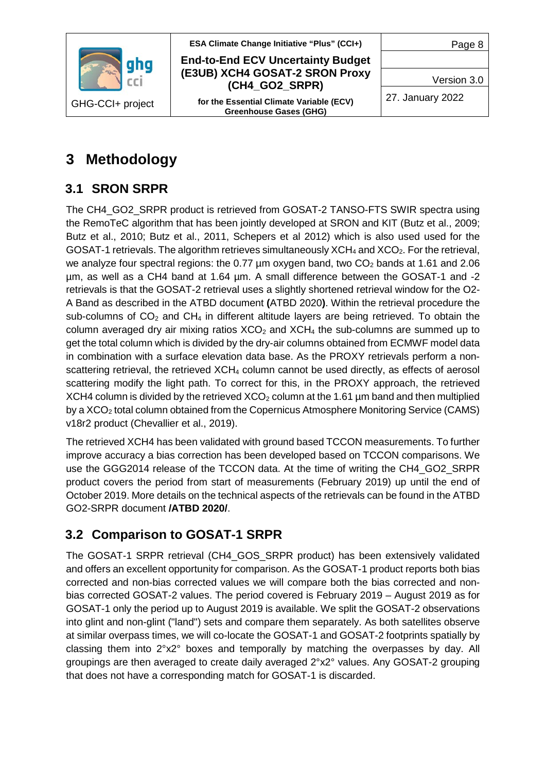

#### **End-to-End ECV Uncertainty Budget (E3UB) XCH4 GOSAT-2 SRON Proxy (CH4\_GO2\_SRPR)**

**for the Essential Climate Variable (ECV) Greenhouse Gases (GHG)**

Page 8

Version 3.0

27. January 2022

## <span id="page-7-0"></span>**3 Methodology**

## <span id="page-7-1"></span>**3.1 SRON SRPR**

The CH4\_GO2\_SRPR product is retrieved from GOSAT-2 TANSO-FTS SWIR spectra using the RemoTeC algorithm that has been jointly developed at SRON and KIT (Butz et al., 2009; Butz et al., 2010; Butz et al., 2011, Schepers et al 2012) which is also used used for the GOSAT-1 retrievals. The algorithm retrieves simultaneously  $XCH<sub>4</sub>$  and  $XCO<sub>2</sub>$ . For the retrieval, we analyze four spectral regions: the 0.77  $\mu$ m oxygen band, two CO<sub>2</sub> bands at 1.61 and 2.06 µm, as well as a CH4 band at 1.64 µm. A small difference between the GOSAT-1 and -2 retrievals is that the GOSAT-2 retrieval uses a slightly shortened retrieval window for the O2- A Band as described in the ATBD document **(**ATBD 2020**)**. Within the retrieval procedure the sub-columns of  $CO<sub>2</sub>$  and  $CH<sub>4</sub>$  in different altitude layers are being retrieved. To obtain the column averaged dry air mixing ratios  $XCO<sub>2</sub>$  and  $XCH<sub>4</sub>$  the sub-columns are summed up to get the total column which is divided by the dry-air columns obtained from ECMWF model data in combination with a surface elevation data base. As the PROXY retrievals perform a nonscattering retrieval, the retrieved XCH<sub>4</sub> column cannot be used directly, as effects of aerosol scattering modify the light path. To correct for this, in the PROXY approach, the retrieved XCH4 column is divided by the retrieved  $XCO<sub>2</sub>$  column at the 1.61 µm band and then multiplied by a XCO<sub>2</sub> total column obtained from the Copernicus Atmosphere Monitoring Service (CAMS) v18r2 product (Chevallier et al., 2019).

The retrieved XCH4 has been validated with ground based TCCON measurements. To further improve accuracy a bias correction has been developed based on TCCON comparisons. We use the GGG2014 release of the TCCON data. At the time of writing the CH4\_GO2\_SRPR product covers the period from start of measurements (February 2019) up until the end of October 2019. More details on the technical aspects of the retrievals can be found in the ATBD GO2-SRPR document **/ATBD 2020/**.

## <span id="page-7-2"></span>**3.2 Comparison to GOSAT-1 SRPR**

The GOSAT-1 SRPR retrieval (CH4\_GOS\_SRPR product) has been extensively validated and offers an excellent opportunity for comparison. As the GOSAT-1 product reports both bias corrected and non-bias corrected values we will compare both the bias corrected and nonbias corrected GOSAT-2 values. The period covered is February 2019 – August 2019 as for GOSAT-1 only the period up to August 2019 is available. We split the GOSAT-2 observations into glint and non-glint ("land") sets and compare them separately. As both satellites observe at similar overpass times, we will co-locate the GOSAT-1 and GOSAT-2 footprints spatially by classing them into 2°x2° boxes and temporally by matching the overpasses by day. All groupings are then averaged to create daily averaged 2°x2° values. Any GOSAT-2 grouping that does not have a corresponding match for GOSAT-1 is discarded.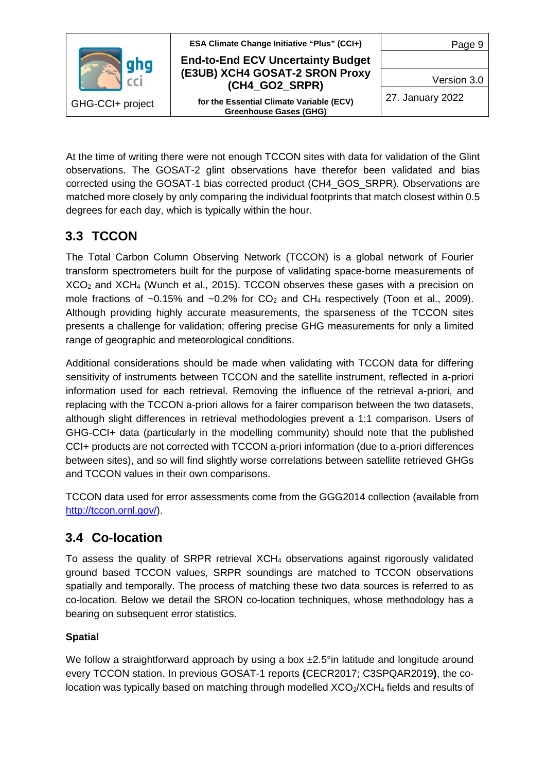

**End-to-End ECV Uncertainty Budget (E3UB) XCH4 GOSAT-2 SRON Proxy (CH4\_GO2\_SRPR)**

**for the Essential Climate Variable (ECV) Greenhouse Gases (GHG)**

Page 9

Version 3.0

27. January 2022

At the time of writing there were not enough TCCON sites with data for validation of the Glint observations. The GOSAT-2 glint observations have therefor been validated and bias corrected using the GOSAT-1 bias corrected product (CH4\_GOS\_SRPR). Observations are matched more closely by only comparing the individual footprints that match closest within 0.5 degrees for each day, which is typically within the hour.

### <span id="page-8-0"></span>**3.3 TCCON**

The Total Carbon Column Observing Network (TCCON) is a global network of Fourier transform spectrometers built for the purpose of validating space-borne measurements of  $XCO<sub>2</sub>$  and  $XCH<sub>4</sub>$  (Wunch et al., 2015). TCCON observes these gases with a precision on mole fractions of  $\sim 0.15\%$  and  $\sim 0.2\%$  for CO<sub>2</sub> and CH<sub>4</sub> respectively (Toon et al., 2009). Although providing highly accurate measurements, the sparseness of the TCCON sites presents a challenge for validation; offering precise GHG measurements for only a limited range of geographic and meteorological conditions.

Additional considerations should be made when validating with TCCON data for differing sensitivity of instruments between TCCON and the satellite instrument, reflected in a-priori information used for each retrieval. Removing the influence of the retrieval a-priori, and replacing with the TCCON a-priori allows for a fairer comparison between the two datasets, although slight differences in retrieval methodologies prevent a 1:1 comparison. Users of GHG-CCI+ data (particularly in the modelling community) should note that the published CCI+ products are not corrected with TCCON a-priori information (due to a-priori differences between sites), and so will find slightly worse correlations between satellite retrieved GHGs and TCCON values in their own comparisons.

TCCON data used for error assessments come from the GGG2014 collection (available from [http://tccon.ornl.gov/\)](http://tccon.ornl.gov/).

### <span id="page-8-1"></span>**3.4 Co-location**

To assess the quality of SRPR retrieval  $XCH<sub>4</sub>$  observations against rigorously validated ground based TCCON values, SRPR soundings are matched to TCCON observations spatially and temporally. The process of matching these two data sources is referred to as co-location. Below we detail the SRON co-location techniques, whose methodology has a bearing on subsequent error statistics.

#### **Spatial**

We follow a straightforward approach by using a box  $\pm 2.5^\circ$ in latitude and longitude around every TCCON station. In previous GOSAT-1 reports **(**CECR2017; C3SPQAR2019**)**, the colocation was typically based on matching through modelled  $XCO<sub>2</sub>/XCH<sub>4</sub>$  fields and results of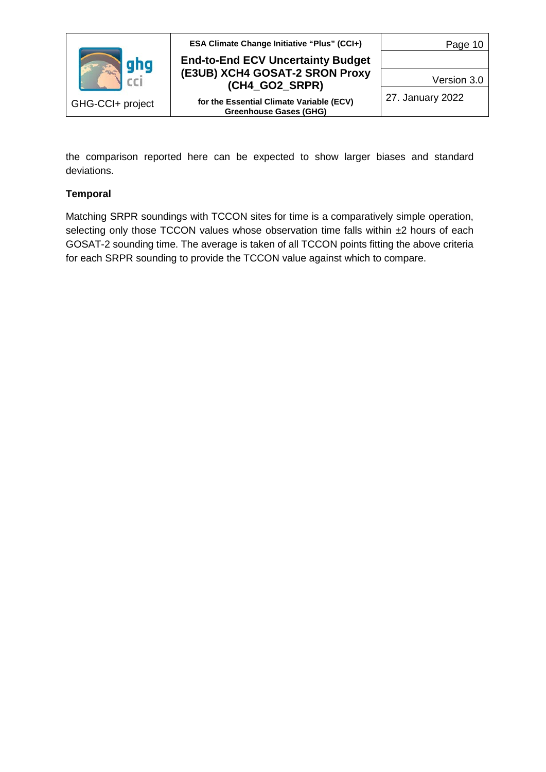

**End-to-End ECV Uncertainty Budget (E3UB) XCH4 GOSAT-2 SRON Proxy (CH4\_GO2\_SRPR)**

**for the Essential Climate Variable (ECV) Greenhouse Gases (GHG)**

Page 10

Version 3.0

27. January 2022

the comparison reported here can be expected to show larger biases and standard deviations.

#### **Temporal**

Matching SRPR soundings with TCCON sites for time is a comparatively simple operation, selecting only those TCCON values whose observation time falls within ±2 hours of each GOSAT-2 sounding time. The average is taken of all TCCON points fitting the above criteria for each SRPR sounding to provide the TCCON value against which to compare.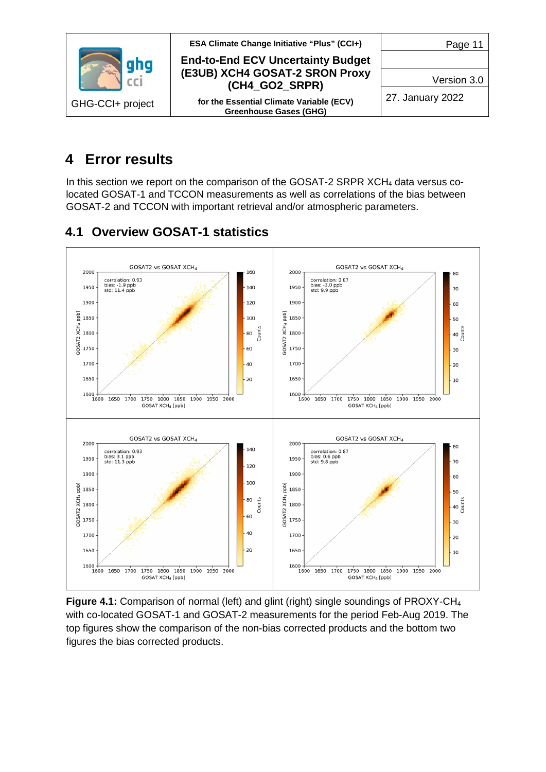

## <span id="page-10-0"></span>**4 Error results**

In this section we report on the comparison of the GOSAT-2 SRPR  $XCH<sub>4</sub>$  data versus colocated GOSAT-1 and TCCON measurements as well as correlations of the bias between GOSAT-2 and TCCON with important retrieval and/or atmospheric parameters.

### <span id="page-10-1"></span>**4.1 Overview GOSAT-1 statistics**



**Figure 4.1:** Comparison of normal (left) and glint (right) single soundings of PROXY-CH<sub>4</sub> with co-located GOSAT-1 and GOSAT-2 measurements for the period Feb-Aug 2019. The top figures show the comparison of the non-bias corrected products and the bottom two figures the bias corrected products.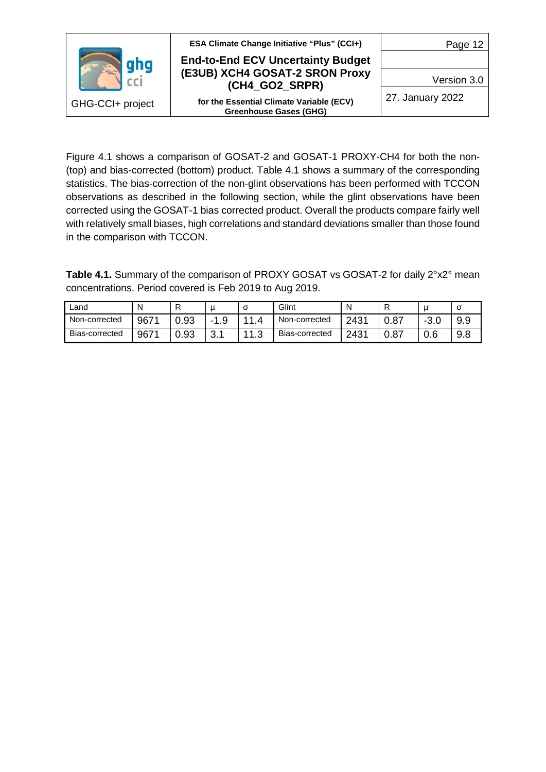

**End-to-End ECV Uncertainty Budget (E3UB) XCH4 GOSAT-2 SRON Proxy (CH4\_GO2\_SRPR)**

**for the Essential Climate Variable (ECV) Greenhouse Gases (GHG)**

Page 12

Version 3.0

27. January 2022

Figure 4.1 shows a comparison of GOSAT-2 and GOSAT-1 PROXY-CH4 for both the non- (top) and bias-corrected (bottom) product. Table 4.1 shows a summary of the corresponding statistics. The bias-correction of the non-glint observations has been performed with TCCON observations as described in the following section, while the glint observations have been corrected using the GOSAT-1 bias corrected product. Overall the products compare fairly well with relatively small biases, high correlations and standard deviations smaller than those found in the comparison with TCCON.

Table 4.1. Summary of the comparison of PROXY GOSAT vs GOSAT-2 for daily 2°x2° mean concentrations. Period covered is Feb 2019 to Aug 2019.

| Land           | N    |      | u             | ╭<br>U      | Glint          | Ν    |               |           | u   |
|----------------|------|------|---------------|-------------|----------------|------|---------------|-----------|-----|
| Non-corrected  | 9671 | 0.93 | O<br>-<br>ن ا | - 1         | Non-corrected  | 2431 | 0.87          | ົ<br>-3.U | 9.9 |
| Bias-corrected | 9671 | 0.93 | ົ<br>J.I      | 4 A<br>ں. ا | Bias-corrected | 2431 | _ ∩ ຂ−<br>υ.υ | 0.6       | 9.8 |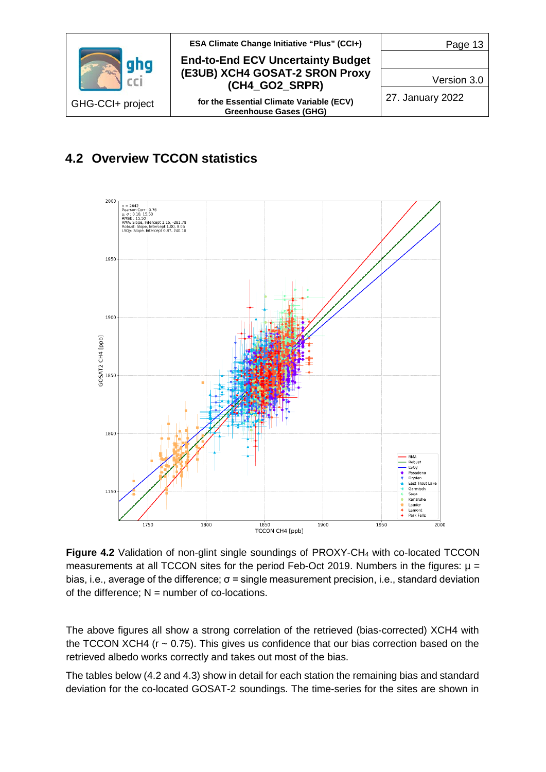

### <span id="page-12-0"></span>**4.2 Overview TCCON statistics**



**Figure 4.2** Validation of non-glint single soundings of PROXY-CH<sub>4</sub> with co-located TCCON measurements at all TCCON sites for the period Feb-Oct 2019. Numbers in the figures:  $\mu$  = bias, i.e., average of the difference;  $\sigma$  = single measurement precision, i.e., standard deviation of the difference;  $N =$  number of co-locations.

The above figures all show a strong correlation of the retrieved (bias-corrected) XCH4 with the TCCON XCH4 ( $r \sim 0.75$ ). This gives us confidence that our bias correction based on the retrieved albedo works correctly and takes out most of the bias.

The tables below (4.2 and 4.3) show in detail for each station the remaining bias and standard deviation for the co-located GOSAT-2 soundings. The time-series for the sites are shown in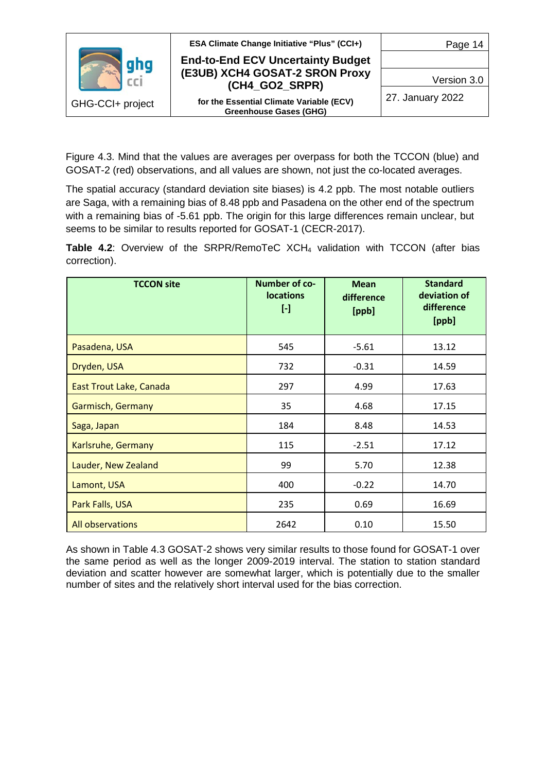

Figure 4.3. Mind that the values are averages per overpass for both the TCCON (blue) and GOSAT-2 (red) observations, and all values are shown, not just the co-located averages.

The spatial accuracy (standard deviation site biases) is 4.2 ppb. The most notable outliers are Saga, with a remaining bias of 8.48 ppb and Pasadena on the other end of the spectrum with a remaining bias of -5.61 ppb. The origin for this large differences remain unclear, but seems to be similar to results reported for GOSAT-1 (CECR-2017).

**Table 4.2:** Overview of the SRPR/RemoTeC XCH<sub>4</sub> validation with TCCON (after bias correction).

| <b>TCCON site</b>              | Number of co-<br><b>locations</b><br>$[\cdot]$ | <b>Mean</b><br>difference<br>[ppb] | <b>Standard</b><br>deviation of<br>difference<br>[ppb] |
|--------------------------------|------------------------------------------------|------------------------------------|--------------------------------------------------------|
| Pasadena, USA                  | 545                                            | $-5.61$                            | 13.12                                                  |
| Dryden, USA                    | 732                                            | $-0.31$                            | 14.59                                                  |
| <b>East Trout Lake, Canada</b> | 297                                            | 4.99                               | 17.63                                                  |
| Garmisch, Germany              | 35                                             | 4.68                               | 17.15                                                  |
| Saga, Japan                    | 184                                            | 8.48                               | 14.53                                                  |
| Karlsruhe, Germany             | 115                                            | $-2.51$                            | 17.12                                                  |
| Lauder, New Zealand            | 99                                             | 5.70                               | 12.38                                                  |
| Lamont, USA                    | 400                                            | $-0.22$                            | 14.70                                                  |
| Park Falls, USA                | 235                                            | 0.69                               | 16.69                                                  |
| <b>All observations</b>        | 2642                                           | 0.10                               | 15.50                                                  |

As shown in Table 4.3 GOSAT-2 shows very similar results to those found for GOSAT-1 over the same period as well as the longer 2009-2019 interval. The station to station standard deviation and scatter however are somewhat larger, which is potentially due to the smaller number of sites and the relatively short interval used for the bias correction.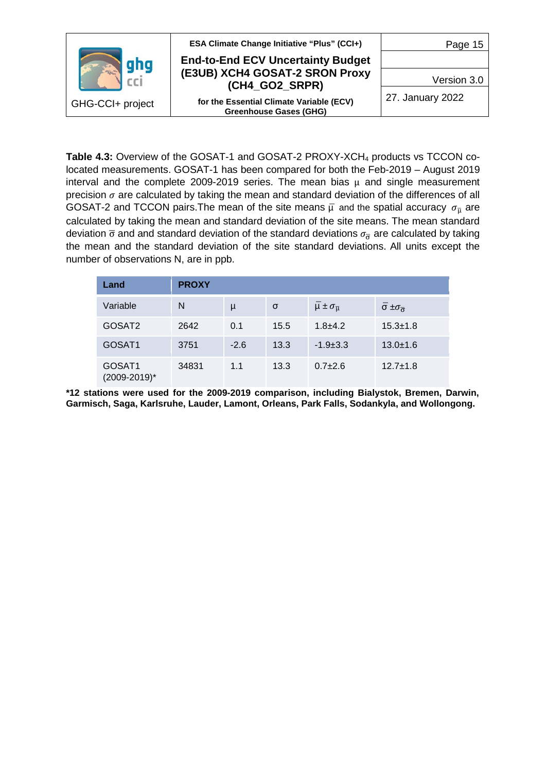

**Table 4.3:** Overview of the GOSAT-1 and GOSAT-2 PROXY-XCH<sub>4</sub> products vs TCCON colocated measurements. GOSAT-1 has been compared for both the Feb-2019 – August 2019 interval and the complete 2009-2019 series. The mean bias  $\mu$  and single measurement precision  $\sigma$  are calculated by taking the mean and standard deviation of the differences of all GOSAT-2 and TCCON pairs.The mean of the site means  $\bar{\mu}$  and the spatial accuracy  $\sigma_{\bar{\mu}}$  are calculated by taking the mean and standard deviation of the site means. The mean standard deviation  $\bar{\sigma}$  and and standard deviation of the standard deviations  $\sigma_{\bar{\sigma}}$  are calculated by taking the mean and the standard deviation of the site standard deviations. All units except the number of observations N, are in ppb.

| Land                   | <b>PROXY</b> |        |      |                                   |                                          |  |  |
|------------------------|--------------|--------|------|-----------------------------------|------------------------------------------|--|--|
| Variable               | N            | μ      | σ    | $\mu \pm \sigma_{\overline{\mu}}$ | $\bar{\sigma} \pm \sigma_{\bar{\sigma}}$ |  |  |
| GOSAT <sub>2</sub>     | 2642         | 0.1    | 15.5 | $1.8 + 4.2$                       | $15.3 \pm 1.8$                           |  |  |
| GOSAT1                 | 3751         | $-2.6$ | 13.3 | $-1.9+3.3$                        | $13.0 \pm 1.6$                           |  |  |
| GOSAT1<br>(2009-2019)* | 34831        | 1.1    | 13.3 | $0.7+2.6$                         | $12.7 \pm 1.8$                           |  |  |

**\*12 stations were used for the 2009-2019 comparison, including Bialystok, Bremen, Darwin, Garmisch, Saga, Karlsruhe, Lauder, Lamont, Orleans, Park Falls, Sodankyla, and Wollongong.**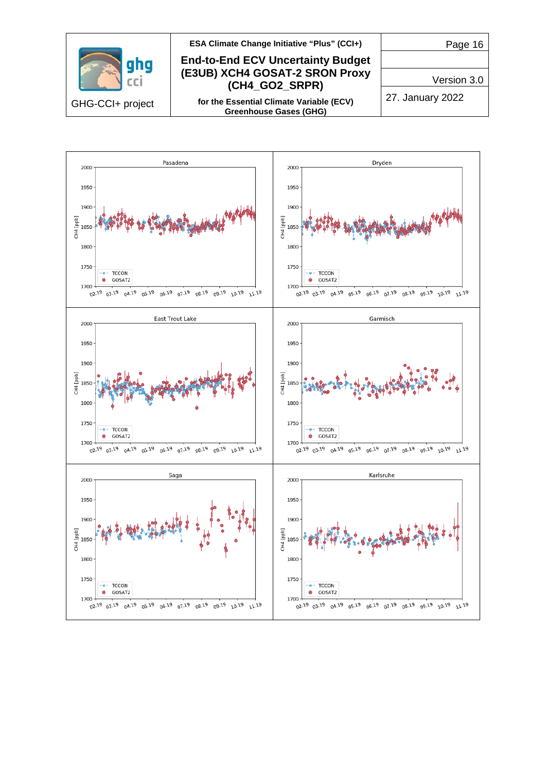

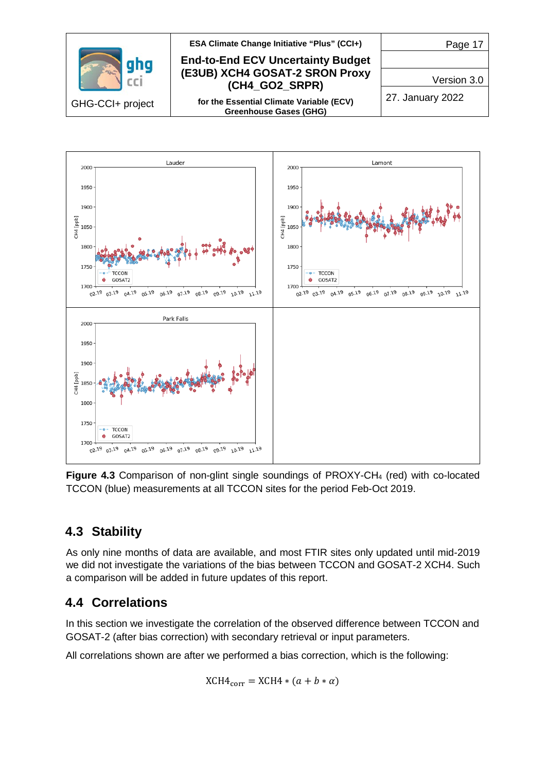



**Figure 4.3** Comparison of non-glint single soundings of PROXY-CH<sub>4</sub> (red) with co-located TCCON (blue) measurements at all TCCON sites for the period Feb-Oct 2019.

### <span id="page-16-0"></span>**4.3 Stability**

As only nine months of data are available, and most FTIR sites only updated until mid-2019 we did not investigate the variations of the bias between TCCON and GOSAT-2 XCH4. Such a comparison will be added in future updates of this report.

### <span id="page-16-1"></span>**4.4 Correlations**

In this section we investigate the correlation of the observed difference between TCCON and GOSAT-2 (after bias correction) with secondary retrieval or input parameters.

All correlations shown are after we performed a bias correction, which is the following:

$$
XCH4_{\text{corr}} = XCH4 * (a + b * \alpha)
$$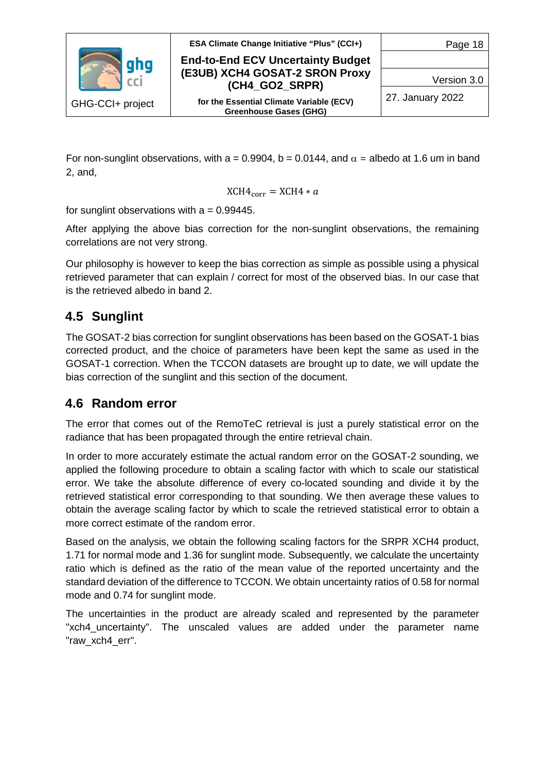

**End-to-End ECV Uncertainty Budget (E3UB) XCH4 GOSAT-2 SRON Proxy (CH4\_GO2\_SRPR)**

**for the Essential Climate Variable (ECV) Greenhouse Gases (GHG)**

Page 18

Version 3.0

27. January 2022

For non-sunglint observations, with a = 0.9904, b = 0.0144, and  $\alpha$  = albedo at 1.6 um in band 2, and,

$$
\text{XCH4}_{\text{corr}} = \text{XCH4} * a
$$

for sunglint observations with  $a = 0.99445$ .

After applying the above bias correction for the non-sunglint observations, the remaining correlations are not very strong.

Our philosophy is however to keep the bias correction as simple as possible using a physical retrieved parameter that can explain / correct for most of the observed bias. In our case that is the retrieved albedo in band 2.

### <span id="page-17-0"></span>**4.5 Sunglint**

The GOSAT-2 bias correction for sunglint observations has been based on the GOSAT-1 bias corrected product, and the choice of parameters have been kept the same as used in the GOSAT-1 correction. When the TCCON datasets are brought up to date, we will update the bias correction of the sunglint and this section of the document.

### <span id="page-17-1"></span>**4.6 Random error**

The error that comes out of the RemoTeC retrieval is just a purely statistical error on the radiance that has been propagated through the entire retrieval chain.

In order to more accurately estimate the actual random error on the GOSAT-2 sounding, we applied the following procedure to obtain a scaling factor with which to scale our statistical error. We take the absolute difference of every co-located sounding and divide it by the retrieved statistical error corresponding to that sounding. We then average these values to obtain the average scaling factor by which to scale the retrieved statistical error to obtain a more correct estimate of the random error.

Based on the analysis, we obtain the following scaling factors for the SRPR XCH4 product, 1.71 for normal mode and 1.36 for sunglint mode. Subsequently, we calculate the uncertainty ratio which is defined as the ratio of the mean value of the reported uncertainty and the standard deviation of the difference to TCCON. We obtain uncertainty ratios of 0.58 for normal mode and 0.74 for sunglint mode.

The uncertainties in the product are already scaled and represented by the parameter "xch4\_uncertainty". The unscaled values are added under the parameter name "raw\_xch4\_err".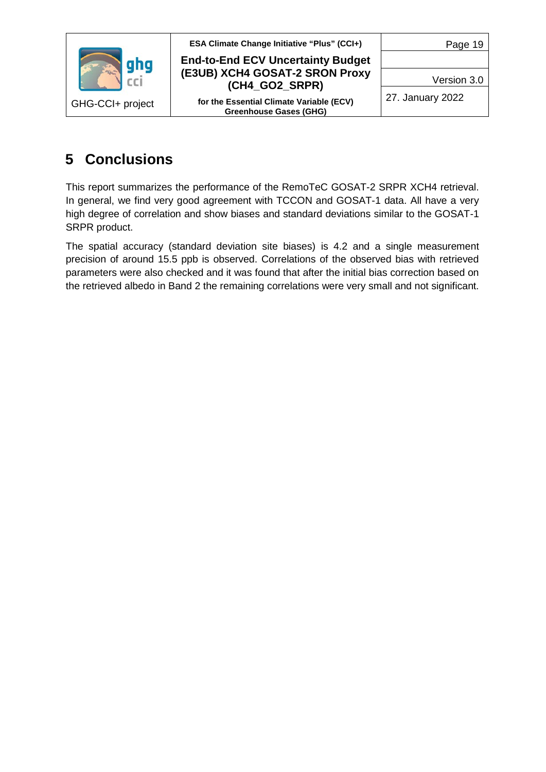

**End-to-End ECV Uncertainty Budget (E3UB) XCH4 GOSAT-2 SRON Proxy (CH4\_GO2\_SRPR)**

**for the Essential Climate Variable (ECV) Greenhouse Gases (GHG)**

Page 19

Version 3.0

27. January 2022

## <span id="page-18-0"></span>**5 Conclusions**

This report summarizes the performance of the RemoTeC GOSAT-2 SRPR XCH4 retrieval. In general, we find very good agreement with TCCON and GOSAT-1 data. All have a very high degree of correlation and show biases and standard deviations similar to the GOSAT-1 SRPR product.

The spatial accuracy (standard deviation site biases) is 4.2 and a single measurement precision of around 15.5 ppb is observed. Correlations of the observed bias with retrieved parameters were also checked and it was found that after the initial bias correction based on the retrieved albedo in Band 2 the remaining correlations were very small and not significant.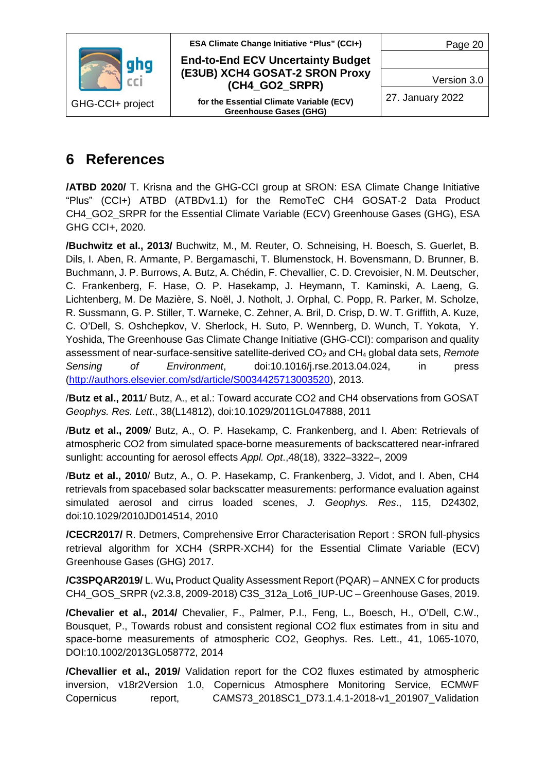

**End-to-End ECV Uncertainty Budget (E3UB) XCH4 GOSAT-2 SRON Proxy (CH4\_GO2\_SRPR)**

**for the Essential Climate Variable (ECV) Greenhouse Gases (GHG)**

Page 20

Version 3.0

27. January 2022

## <span id="page-19-0"></span>**6 References**

**/ATBD 2020/** T. Krisna and the GHG-CCI group at SRON: ESA Climate Change Initiative "Plus" (CCI+) ATBD (ATBDv1.1) for the RemoTeC CH4 GOSAT-2 Data Product CH4\_GO2\_SRPR for the Essential Climate Variable (ECV) Greenhouse Gases (GHG), ESA GHG CCI+, 2020.

**/Buchwitz et al., 2013/** Buchwitz, M., M. Reuter, O. Schneising, H. Boesch, S. Guerlet, B. Dils, I. Aben, R. Armante, P. Bergamaschi, T. Blumenstock, H. Bovensmann, D. Brunner, B. Buchmann, J. P. Burrows, A. Butz, A. Chédin, F. Chevallier, C. D. Crevoisier, N. M. Deutscher, C. Frankenberg, F. Hase, O. P. Hasekamp, J. Heymann, T. Kaminski, A. Laeng, G. Lichtenberg, M. De Mazière, S. Noël, J. Notholt, J. Orphal, C. Popp, R. Parker, M. Scholze, R. Sussmann, G. P. Stiller, T. Warneke, C. Zehner, A. Bril, D. Crisp, D. W. T. Griffith, A. Kuze, C. O'Dell, S. Oshchepkov, V. Sherlock, H. Suto, P. Wennberg, D. Wunch, T. Yokota, Y. Yoshida, The Greenhouse Gas Climate Change Initiative (GHG-CCI): comparison and quality assessment of near-surface-sensitive satellite-derived CO<sub>2</sub> and CH<sub>4</sub> global data sets, *Remote Sensing of Environment*, doi:10.1016/j.rse.2013.04.024, in press (http://authors.elsevier.com/sd/article/S0034425713003520), 2013.

/**Butz et al., 2011**/ Butz, A., et al.: Toward accurate CO2 and CH4 observations from GOSAT *Geophys. Res. Lett*., 38(L14812), doi:10.1029/2011GL047888, 2011

/**Butz et al., 2009**/ Butz, A., O. P. Hasekamp, C. Frankenberg, and I. Aben: Retrievals of atmospheric CO2 from simulated space-borne measurements of backscattered near-infrared sunlight: accounting for aerosol effects *Appl. Opt*.,48(18), 3322–3322–, 2009

/**Butz et al., 2010**/ Butz, A., O. P. Hasekamp, C. Frankenberg, J. Vidot, and I. Aben, CH4 retrievals from spacebased solar backscatter measurements: performance evaluation against simulated aerosol and cirrus loaded scenes, *J. Geophys. Res*., 115, D24302, doi:10.1029/2010JD014514, 2010

**/CECR2017/** R. Detmers, Comprehensive Error Characterisation Report : SRON full-physics retrieval algorithm for XCH4 (SRPR-XCH4) for the Essential Climate Variable (ECV) Greenhouse Gases (GHG) 2017.

**/C3SPQAR2019/** L. Wu**,** Product Quality Assessment Report (PQAR) – ANNEX C for products CH4\_GOS\_SRPR (v2.3.8, 2009-2018) C3S\_312a\_Lot6\_IUP-UC – Greenhouse Gases, 2019.

**/Chevalier et al., 2014/** Chevalier, F., Palmer, P.I., Feng, L., Boesch, H., O'Dell, C.W., Bousquet, P., Towards robust and consistent regional CO2 flux estimates from in situ and space-borne measurements of atmospheric CO2, Geophys. Res. Lett., 41, 1065-1070, DOI:10.1002/2013GL058772, 2014

**/Chevallier et al., 2019/** Validation report for the CO2 fluxes estimated by atmospheric inversion, v18r2Version 1.0, Copernicus Atmosphere Monitoring Service, ECMWF Copernicus report, CAMS73\_2018SC1\_D73.1.4.1-2018-v1\_201907\_Validation